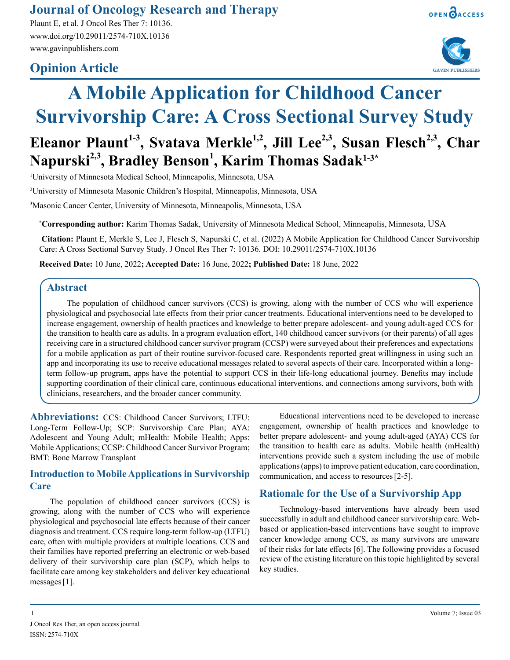# **Journal of Oncology Research and Therapy**

Plaunt E, et al. J Oncol Res Ther 7: 10136. www.doi.org/10.29011/2574-710X.10136 www.gavinpublishers.com

# **Opinion Article**





# **A Mobile Application for Childhood Cancer Survivorship Care: A Cross Sectional Survey Study**

# Eleanor Plaunt<sup>1-3</sup>, Svatava Merkle<sup>1,2</sup>, Jill Lee<sup>2,3</sup>, Susan Flesch<sup>2,3</sup>, Char **Napurski2,3, Bradley Benson1 , Karim Thomas Sadak1-3\***

1 University of Minnesota Medical School, Minneapolis, Minnesota, USA

2 University of Minnesota Masonic Children's Hospital, Minneapolis, Minnesota, USA

3 Masonic Cancer Center, University of Minnesota, Minneapolis, Minnesota, USA

**\* Corresponding author:** Karim Thomas Sadak, University of Minnesota Medical School, Minneapolis, Minnesota, USA

**Citation:** Plaunt E, Merkle S, Lee J, Flesch S, Napurski C, et al. (2022) A Mobile Application for Childhood Cancer Survivorship Care: A Cross Sectional Survey Study. J Oncol Res Ther 7: 10136. DOI: 10.29011/2574-710X.10136

**Received Date:** 10 June, 2022**; Accepted Date:** 16 June, 2022**; Published Date:** 18 June, 2022

#### **Abstract**

The population of childhood cancer survivors (CCS) is growing, along with the number of CCS who will experience physiological and psychosocial late effects from their prior cancer treatments. Educational interventions need to be developed to increase engagement, ownership of health practices and knowledge to better prepare adolescent- and young adult-aged CCS for the transition to health care as adults. In a program evaluation effort, 140 childhood cancer survivors (or their parents) of all ages receiving care in a structured childhood cancer survivor program (CCSP) were surveyed about their preferences and expectations for a mobile application as part of their routine survivor-focused care. Respondents reported great willingness in using such an app and incorporating its use to receive educational messages related to several aspects of their care. Incorporated within a longterm follow-up program, apps have the potential to support CCS in their life-long educational journey. Benefits may include supporting coordination of their clinical care, continuous educational interventions, and connections among survivors, both with clinicians, researchers, and the broader cancer community.

**Abbreviations:** CCS: Childhood Cancer Survivors; LTFU: Long-Term Follow-Up; SCP: Survivorship Care Plan; AYA: Adolescent and Young Adult; mHealth: Mobile Health; Apps: Mobile Applications; CCSP: Childhood Cancer Survivor Program; BMT: Bone Marrow Transplant

# **Introduction to Mobile Applications in Survivorship Care**

The population of childhood cancer survivors (CCS) is growing, along with the number of CCS who will experience physiological and psychosocial late effects because of their cancer diagnosis and treatment. CCS require long-term follow-up (LTFU) care, often with multiple providers at multiple locations. CCS and their families have reported preferring an electronic or web-based delivery of their survivorship care plan (SCP), which helps to facilitate care among key stakeholders and deliver key educational messages [1].

Educational interventions need to be developed to increase engagement, ownership of health practices and knowledge to better prepare adolescent- and young adult-aged (AYA) CCS for the transition to health care as adults. Mobile health (mHealth) interventions provide such a system including the use of mobile applications (apps) to improve patient education, care coordination, communication, and access to resources [2-5].

# **Rationale for the Use of a Survivorship App**

Technology-based interventions have already been used successfully in adult and childhood cancer survivorship care. Webbased or application-based interventions have sought to improve cancer knowledge among CCS, as many survivors are unaware of their risks for late effects [6]. The following provides a focused review of the existing literature on this topic highlighted by several key studies.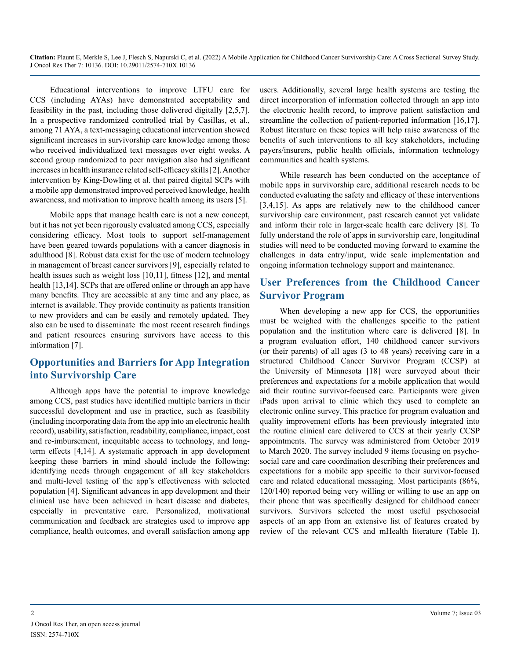Educational interventions to improve LTFU care for CCS (including AYAs) have demonstrated acceptability and feasibility in the past, including those delivered digitally [2,5,7]. In a prospective randomized controlled trial by Casillas, et al., among 71 AYA, a text-messaging educational intervention showed significant increases in survivorship care knowledge among those who received individualized text messages over eight weeks. A second group randomized to peer navigation also had significant increases in health insurance related self-efficacy skills [2]. Another intervention by King-Dowling et al. that paired digital SCPs with a mobile app demonstrated improved perceived knowledge, health awareness, and motivation to improve health among its users [5].

Mobile apps that manage health care is not a new concept, but it has not yet been rigorously evaluated among CCS, especially considering efficacy. Most tools to support self-management have been geared towards populations with a cancer diagnosis in adulthood [8]. Robust data exist for the use of modern technology in management of breast cancer survivors [9], especially related to health issues such as weight loss [10,11], fitness [12], and mental health [13,14]. SCPs that are offered online or through an app have many benefits. They are accessible at any time and any place, as internet is available. They provide continuity as patients transition to new providers and can be easily and remotely updated. They also can be used to disseminate the most recent research findings and patient resources ensuring survivors have access to this information [7].

# **Opportunities and Barriers for App Integration into Survivorship Care**

Although apps have the potential to improve knowledge among CCS, past studies have identified multiple barriers in their successful development and use in practice, such as feasibility (including incorporating data from the app into an electronic health record), usability, satisfaction, readability, compliance, impact, cost and re-imbursement, inequitable access to technology, and longterm effects [4,14]. A systematic approach in app development keeping these barriers in mind should include the following: identifying needs through engagement of all key stakeholders and multi-level testing of the app's effectiveness with selected population [4]. Significant advances in app development and their clinical use have been achieved in heart disease and diabetes, especially in preventative care. Personalized, motivational communication and feedback are strategies used to improve app compliance, health outcomes, and overall satisfaction among app

users. Additionally, several large health systems are testing the direct incorporation of information collected through an app into the electronic health record, to improve patient satisfaction and streamline the collection of patient-reported information [16,17]. Robust literature on these topics will help raise awareness of the benefits of such interventions to all key stakeholders, including payers/insurers, public health officials, information technology communities and health systems.

While research has been conducted on the acceptance of mobile apps in survivorship care, additional research needs to be conducted evaluating the safety and efficacy of these interventions [3,4,15]. As apps are relatively new to the childhood cancer survivorship care environment, past research cannot yet validate and inform their role in larger-scale health care delivery [8]. To fully understand the role of apps in survivorship care, longitudinal studies will need to be conducted moving forward to examine the challenges in data entry/input, wide scale implementation and ongoing information technology support and maintenance.

# **User Preferences from the Childhood Cancer Survivor Program**

When developing a new app for CCS, the opportunities must be weighed with the challenges specific to the patient population and the institution where care is delivered [8]. In a program evaluation effort, 140 childhood cancer survivors (or their parents) of all ages (3 to 48 years) receiving care in a structured Childhood Cancer Survivor Program (CCSP) at the University of Minnesota [18] were surveyed about their preferences and expectations for a mobile application that would aid their routine survivor-focused care. Participants were given iPads upon arrival to clinic which they used to complete an electronic online survey. This practice for program evaluation and quality improvement efforts has been previously integrated into the routine clinical care delivered to CCS at their yearly CCSP appointments. The survey was administered from October 2019 to March 2020. The survey included 9 items focusing on psychosocial care and care coordination describing their preferences and expectations for a mobile app specific to their survivor-focused care and related educational messaging. Most participants (86%, 120/140) reported being very willing or willing to use an app on their phone that was specifically designed for childhood cancer survivors. Survivors selected the most useful psychosocial aspects of an app from an extensive list of features created by review of the relevant CCS and mHealth literature (Table I).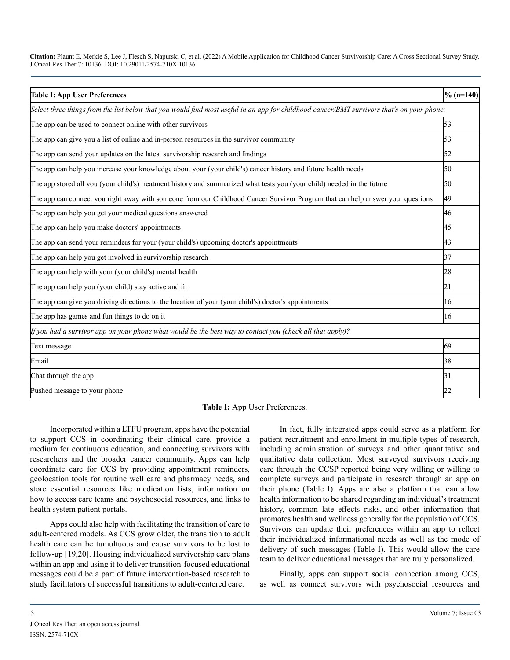| <b>Table I: App User Preferences</b>                                                                                                       | $% (n=140)$ |
|--------------------------------------------------------------------------------------------------------------------------------------------|-------------|
| Select three things from the list below that you would find most useful in an app for childhood cancer/BMT survivors that's on your phone: |             |
| The app can be used to connect online with other survivors                                                                                 | 53          |
| The app can give you a list of online and in-person resources in the survivor community                                                    | 53          |
| The app can send your updates on the latest survivorship research and findings                                                             | 52          |
| The app can help you increase your knowledge about your (your child's) cancer history and future health needs                              | 50          |
| The app stored all you (your child's) treatment history and summarized what tests you (your child) needed in the future                    | 50          |
| The app can connect you right away with someone from our Childhood Cancer Survivor Program that can help answer your questions             | 49          |
| The app can help you get your medical questions answered                                                                                   | 46          |
| The app can help you make doctors' appointments                                                                                            | 45          |
| The app can send your reminders for your (your child's) upcoming doctor's appointments                                                     | 43          |
| The app can help you get involved in survivorship research                                                                                 | 37          |
| The app can help with your (your child's) mental health                                                                                    | 28          |
| The app can help you (your child) stay active and fit                                                                                      | 21          |
| The app can give you driving directions to the location of your (your child's) doctor's appointments                                       | 16          |
| The app has games and fun things to do on it                                                                                               | 16          |
| If you had a survivor app on your phone what would be the best way to contact you (check all that apply)?                                  |             |
| Text message                                                                                                                               | 69          |
| Email                                                                                                                                      | 38          |
| Chat through the app                                                                                                                       | 31          |
| Pushed message to your phone                                                                                                               | 22          |

#### **Table I:** App User Preferences.

Incorporated within a LTFU program, apps have the potential to support CCS in coordinating their clinical care, provide a medium for continuous education, and connecting survivors with researchers and the broader cancer community. Apps can help coordinate care for CCS by providing appointment reminders, geolocation tools for routine well care and pharmacy needs, and store essential resources like medication lists, information on how to access care teams and psychosocial resources, and links to health system patient portals.

Apps could also help with facilitating the transition of care to adult-centered models. As CCS grow older, the transition to adult health care can be tumultuous and cause survivors to be lost to follow-up [19,20]. Housing individualized survivorship care plans within an app and using it to deliver transition-focused educational messages could be a part of future intervention-based research to study facilitators of successful transitions to adult-centered care.

In fact, fully integrated apps could serve as a platform for patient recruitment and enrollment in multiple types of research, including administration of surveys and other quantitative and qualitative data collection. Most surveyed survivors receiving care through the CCSP reported being very willing or willing to complete surveys and participate in research through an app on their phone (Table I). Apps are also a platform that can allow health information to be shared regarding an individual's treatment history, common late effects risks, and other information that promotes health and wellness generally for the population of CCS. Survivors can update their preferences within an app to reflect their individualized informational needs as well as the mode of delivery of such messages (Table I). This would allow the care team to deliver educational messages that are truly personalized.

Finally, apps can support social connection among CCS, as well as connect survivors with psychosocial resources and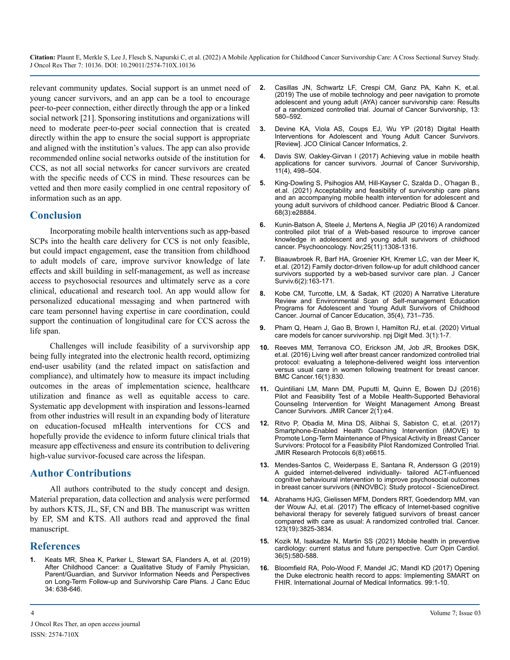relevant community updates. Social support is an unmet need of young cancer survivors, and an app can be a tool to encourage peer-to-peer connection, either directly through the app or a linked social network [21]. Sponsoring institutions and organizations will need to moderate peer-to-peer social connection that is created directly within the app to ensure the social support is appropriate and aligned with the institution's values. The app can also provide recommended online social networks outside of the institution for CCS, as not all social networks for cancer survivors are created with the specific needs of CCS in mind. These resources can be vetted and then more easily complied in one central repository of information such as an app.

#### **Conclusion**

Incorporating mobile health interventions such as app-based SCPs into the health care delivery for CCS is not only feasible, but could impact engagement, ease the transition from childhood to adult models of care, improve survivor knowledge of late effects and skill building in self-management, as well as increase access to psychosocial resources and ultimately serve as a core clinical, educational and research tool. An app would allow for personalized educational messaging and when partnered with care team personnel having expertise in care coordination, could support the continuation of longitudinal care for CCS across the life span.

Challenges will include feasibility of a survivorship app being fully integrated into the electronic health record, optimizing end-user usability (and the related impact on satisfaction and compliance), and ultimately how to measure its impact including outcomes in the areas of implementation science, healthcare utilization and finance as well as equitable access to care. Systematic app development with inspiration and lessons-learned from other industries will result in an expanding body of literature on education-focused mHealth interventions for CCS and hopefully provide the evidence to inform future clinical trials that measure app effectiveness and ensure its contribution to delivering high-value survivor-focused care across the lifespan.

#### **Author Contributions**

All authors contributed to the study concept and design. Material preparation, data collection and analysis were performed by authors KTS, JL, SF, CN and BB. The manuscript was written by EP, SM and KTS. All authors read and approved the final manuscript.

# **References**

**1.** [Keats MR, Shea K, Parker L, Stewart SA, Flanders A, et al. \(2019\)](https://pubmed.ncbi.nlm.nih.gov/29552704/) [After Childhood Cancer: a Qualitative Study of Family Physician,](https://pubmed.ncbi.nlm.nih.gov/29552704/) [Parent/Guardian, and Survivor Information Needs and Perspectives](https://pubmed.ncbi.nlm.nih.gov/29552704/)  [on Long-Term Follow-up and Survivorship Care Plans. J Canc Educ](https://pubmed.ncbi.nlm.nih.gov/29552704/)  [34: 638-646.](https://pubmed.ncbi.nlm.nih.gov/29552704/)

- **2.** [Casillas JN, Schwartz LF, Crespi CM, Ganz PA, Kahn K, et.al.](https://pubmed.ncbi.nlm.nih.gov/31350681/)  [\(2019\) The use of mobile technology and peer navigation to promote](https://pubmed.ncbi.nlm.nih.gov/31350681/)  [adolescent and young adult \(AYA\) cancer survivorship care: Results](https://pubmed.ncbi.nlm.nih.gov/31350681/) [of a randomized controlled trial. Journal of Cancer Survivorship, 13:](https://pubmed.ncbi.nlm.nih.gov/31350681/)  [580–592](https://pubmed.ncbi.nlm.nih.gov/31350681/).
- **3.** [Devine KA, Viola AS, Coups EJ, Wu YP \(2018\) Digital Health](https://ascopubs.org/doi/10.1200/CCI.17.00138) Interventions for Adolescent and Young Adult Cancer Survivors. [\[Review\]. JCO Clinical Cancer Informatics, 2.](https://ascopubs.org/doi/10.1200/CCI.17.00138)
- **4.** [Davis SW, Oakley-Girvan I \(2017\) Achieving value in mobile health](https://pubmed.ncbi.nlm.nih.gov/28342093/)  applications [for cancer survivors. Journal of Cancer Survivorship,](https://pubmed.ncbi.nlm.nih.gov/28342093/)  [11\(4\), 498–504.](https://pubmed.ncbi.nlm.nih.gov/28342093/)
- **5.** [King-Dowling S, Psihogios AM, Hill-Kayser C, Szalda D., O'hagan B.,](https://pubmed.ncbi.nlm.nih.gov/33416214/) [et.al. \(2021\) Acceptability and feasibility of survivorship care plans](https://pubmed.ncbi.nlm.nih.gov/33416214/)  [and an accompanying mobile health intervention for adolescent and](https://pubmed.ncbi.nlm.nih.gov/33416214/)  [young adult survivors of childhood cancer. Pediatric Blood & Cancer.](https://pubmed.ncbi.nlm.nih.gov/33416214/) [68\(3\):e28884.](https://pubmed.ncbi.nlm.nih.gov/33416214/)
- **6.** [Kunin-Batson A, Steele J, Mertens A, Neglia JP \(2016\) A randomized](https://pubmed.ncbi.nlm.nih.gov/26403252/)  [controlled pilot trial of a Web-based resource to improve cancer](https://pubmed.ncbi.nlm.nih.gov/26403252/)  [knowledge in adolescent and young adult survivors of childhood](https://pubmed.ncbi.nlm.nih.gov/26403252/)  [cancer. Psychooncology. Nov;25\(11\):1308-1316.](https://pubmed.ncbi.nlm.nih.gov/26403252/)
- **7.** [Blaauwbroek R, Barf HA, Groenier KH, Kremer LC, van der Meer K,](https://www.researchgate.net/publication/51833950_Family_doctor-driven_follow-up_for_adult_childhood_cancer_survivors_supported_by_a_web-based_survivor_care_plan)  [et.al. \(2012\) Family doctor-driven follow-up for adult childhood cancer](https://www.researchgate.net/publication/51833950_Family_doctor-driven_follow-up_for_adult_childhood_cancer_survivors_supported_by_a_web-based_survivor_care_plan)  [survivors supported by a web-based survivor care plan. J Cancer](https://www.researchgate.net/publication/51833950_Family_doctor-driven_follow-up_for_adult_childhood_cancer_survivors_supported_by_a_web-based_survivor_care_plan) [Surviv.6\(2\):163-171.](https://www.researchgate.net/publication/51833950_Family_doctor-driven_follow-up_for_adult_childhood_cancer_survivors_supported_by_a_web-based_survivor_care_plan)
- **8.** [Kobe CM, Turcotte, LM, & Sadak, KT \(2020\) A Narrative Literature](https://pubmed.ncbi.nlm.nih.gov/31020620/) Review [and Environmental Scan of Self-management Education](https://pubmed.ncbi.nlm.nih.gov/31020620/)  [Programs for Adolescent and Young Adult Survivors of Childhood](https://pubmed.ncbi.nlm.nih.gov/31020620/)  [Cancer. Journal of Cancer Education, 35\(4\), 731–735.](https://pubmed.ncbi.nlm.nih.gov/31020620/)
- **9.** Pham Q, Hearn J, Gao [B, Brown](https://www.researchgate.net/publication/344059744_Virtual_care_models_for_cancer_survivorship) I, Hamilton RJ, et.al. (2020) Virtual care models for cancer survivorship. [npj Digit Med. 3\(1\):1-7.](https://www.researchgate.net/publication/344059744_Virtual_care_models_for_cancer_survivorship)
- **10.** [Reeves MM, Terranova CO, Erickson JM, Job JR, Brookes DSK,](https://bmccancer.biomedcentral.com/articles/10.1186/s12885-016-2858-0)  [et.al. \(2016\) Living well after breast cancer randomized controlled trial](https://bmccancer.biomedcentral.com/articles/10.1186/s12885-016-2858-0)  [protocol: evaluating a telephone-delivered weight loss intervention](https://bmccancer.biomedcentral.com/articles/10.1186/s12885-016-2858-0)  [versus usual care in women following treatment for breast cancer.](https://bmccancer.biomedcentral.com/articles/10.1186/s12885-016-2858-0)  [BMC Cancer.16\(1\):830.](https://bmccancer.biomedcentral.com/articles/10.1186/s12885-016-2858-0)
- **11.** [Quintiliani LM, Mann DM, Puputti M, Quinn E, Bowen DJ \(2016\)](https://pubmed.ncbi.nlm.nih.gov/27761518/)  [Pilot and Feasibility Test of a Mobile Health-Supported Behavioral](https://pubmed.ncbi.nlm.nih.gov/27761518/)  [Counseling Intervention for Weight Management Among Breast](https://pubmed.ncbi.nlm.nih.gov/27761518/)  [Cancer Survivors. JMIR Cancer 2\(1\):e4](https://pubmed.ncbi.nlm.nih.gov/27761518/).
- **12.** [Ritvo P, Obadia M, Mina DS, Alibhai S, Sabiston C, et.al. \(2017\)](https://pubmed.ncbi.nlm.nih.gov/28838886/)  [Smartphone-Enabled Health Coaching Intervention \(iMOVE\) to](https://pubmed.ncbi.nlm.nih.gov/28838886/)  [Promote Long-Term Maintenance of Physical Activity in Breast Cancer](https://pubmed.ncbi.nlm.nih.gov/28838886/)  [Survivors: Protocol for a Feasibility Pilot Randomized Controlled Trial.](https://pubmed.ncbi.nlm.nih.gov/28838886/)  [JMIR Research Protocols 6\(8\):e6615.](https://pubmed.ncbi.nlm.nih.gov/28838886/)
- **13.** [Mendes-Santos C, Weiderpass E, Santana R, Andersson G \(2019\)](https://pubmed.ncbi.nlm.nih.gov/30949435/)  [A guided internet-delivered individually- tailored ACT-influenced](https://pubmed.ncbi.nlm.nih.gov/30949435/)  [cognitive behavioural intervention to improve psychosocial outcomes](https://pubmed.ncbi.nlm.nih.gov/30949435/)  [in breast cancer survivors \(iNNOVBC\): Study protocol - ScienceDirect.](https://pubmed.ncbi.nlm.nih.gov/30949435/)
- **14.** [Abrahams HJG, Gielissen MFM, Donders RRT, Goedendorp MM, van](https://pubmed.ncbi.nlm.nih.gov/28621820/)  [der Wouw AJ, et.al. \(2017\) The efficacy of Internet-based cognitive](https://pubmed.ncbi.nlm.nih.gov/28621820/)  [behavioral therapy for severely fatigued survivors of breast cancer](https://pubmed.ncbi.nlm.nih.gov/28621820/)  [compared with care as usual: A randomized controlled trial. Cancer.](https://pubmed.ncbi.nlm.nih.gov/28621820/)  [123\(19\):3825-3834](https://pubmed.ncbi.nlm.nih.gov/28621820/).
- **15.** [Kozik M, Isakadze N, Martin SS \(2021\) Mobile health in preventive](https://pubmed.ncbi.nlm.nih.gov/34224437/)  [cardiology: current status and future perspective. Curr Opin Cardiol.](https://pubmed.ncbi.nlm.nih.gov/34224437/)  [36\(5\):580-588.](https://pubmed.ncbi.nlm.nih.gov/34224437/)
- **16.** [Bloomfield RA, Polo-Wood F, Mandel JC, Mandl KD \(2017\) Opening](https://pubmed.ncbi.nlm.nih.gov/28118917/)  [the Duke electronic health record to apps: Implementing SMART on](https://pubmed.ncbi.nlm.nih.gov/28118917/)  [FHIR. International Journal of Medical Informatics. 99:1-10](https://pubmed.ncbi.nlm.nih.gov/28118917/).